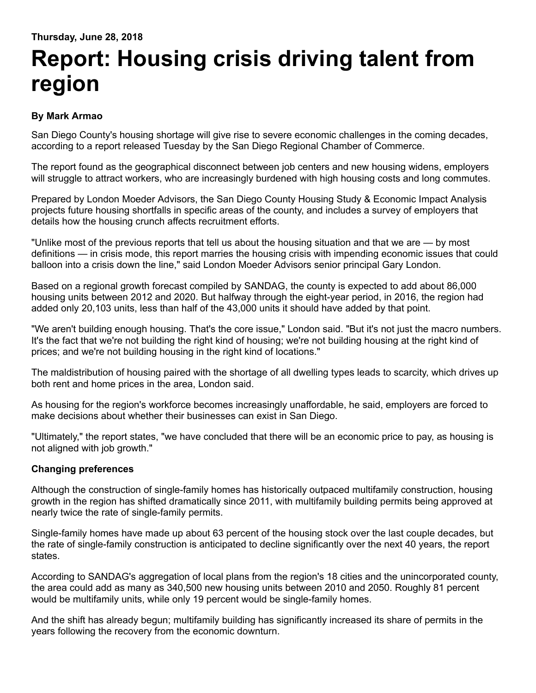## **Report: Housing crisis driving talent from region**

## **By Mark Armao**

San Diego County's housing shortage will give rise to severe economic challenges in the coming decades, according to a report released Tuesday by the San Diego Regional Chamber of Commerce.

The report found as the geographical disconnect between job centers and new housing widens, employers will struggle to attract workers, who are increasingly burdened with high housing costs and long commutes.

Prepared by London Moeder Advisors, the San Diego County Housing Study & Economic Impact Analysis projects future housing shortfalls in specific areas of the county, and includes a survey of employers that details how the housing crunch affects recruitment efforts.

"Unlike most of the previous reports that tell us about the housing situation and that we are — by most definitions — in crisis mode, this report marries the housing crisis with impending economic issues that could balloon into a crisis down the line," said London Moeder Advisors senior principal Gary London.

Based on a regional growth forecast compiled by SANDAG, the county is expected to add about 86,000 housing units between 2012 and 2020. But halfway through the eight-year period, in 2016, the region had added only 20,103 units, less than half of the 43,000 units it should have added by that point.

"We aren't building enough housing. That's the core issue," London said. "But it's not just the macro numbers. It's the fact that we're not building the right kind of housing; we're not building housing at the right kind of prices; and we're not building housing in the right kind of locations."

The maldistribution of housing paired with the shortage of all dwelling types leads to scarcity, which drives up both rent and home prices in the area, London said.

As housing for the region's workforce becomes increasingly unaffordable, he said, employers are forced to make decisions about whether their businesses can exist in San Diego.

"Ultimately," the report states, "we have concluded that there will be an economic price to pay, as housing is not aligned with job growth."

## **Changing preferences**

Although the construction of single-family homes has historically outpaced multifamily construction, housing growth in the region has shifted dramatically since 2011, with multifamily building permits being approved at nearly twice the rate of single-family permits.

Single-family homes have made up about 63 percent of the housing stock over the last couple decades, but the rate of single-family construction is anticipated to decline significantly over the next 40 years, the report states.

According to SANDAG's aggregation of local plans from the region's 18 cities and the unincorporated county, the area could add as many as 340,500 new housing units between 2010 and 2050. Roughly 81 percent would be multifamily units, while only 19 percent would be single-family homes.

And the shift has already begun; multifamily building has significantly increased its share of permits in the years following the recovery from the economic downturn.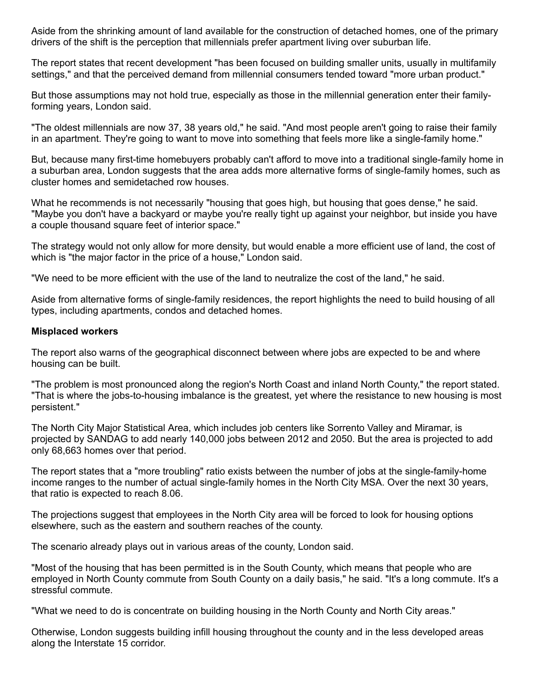Aside from the shrinking amount of land available for the construction of detached homes, one of the primary drivers of the shift is the perception that millennials prefer apartment living over suburban life.

The report states that recent development "has been focused on building smaller units, usually in multifamily settings," and that the perceived demand from millennial consumers tended toward "more urban product."

But those assumptions may not hold true, especially as those in the millennial generation enter their familyforming years, London said.

"The oldest millennials are now 37, 38 years old," he said. "And most people aren't going to raise their family in an apartment. They're going to want to move into something that feels more like a single-family home."

But, because many first-time homebuyers probably can't afford to move into a traditional single-family home in a suburban area, London suggests that the area adds more alternative forms of single-family homes, such as cluster homes and semidetached row houses.

What he recommends is not necessarily "housing that goes high, but housing that goes dense," he said. "Maybe you don't have a backyard or maybe you're really tight up against your neighbor, but inside you have a couple thousand square feet of interior space."

The strategy would not only allow for more density, but would enable a more efficient use of land, the cost of which is "the major factor in the price of a house," London said.

"We need to be more efficient with the use of the land to neutralize the cost of the land," he said.

Aside from alternative forms of single-family residences, the report highlights the need to build housing of all types, including apartments, condos and detached homes.

## **Misplaced workers**

The report also warns of the geographical disconnect between where jobs are expected to be and where housing can be built.

"The problem is most pronounced along the region's North Coast and inland North County," the report stated. "That is where the jobs-to-housing imbalance is the greatest, yet where the resistance to new housing is most persistent."

The North City Major Statistical Area, which includes job centers like Sorrento Valley and Miramar, is projected by SANDAG to add nearly 140,000 jobs between 2012 and 2050. But the area is projected to add only 68,663 homes over that period.

The report states that a "more troubling" ratio exists between the number of jobs at the single-family-home income ranges to the number of actual single-family homes in the North City MSA. Over the next 30 years, that ratio is expected to reach 8.06.

The projections suggest that employees in the North City area will be forced to look for housing options elsewhere, such as the eastern and southern reaches of the county.

The scenario already plays out in various areas of the county, London said.

"Most of the housing that has been permitted is in the South County, which means that people who are employed in North County commute from South County on a daily basis," he said. "It's a long commute. It's a stressful commute.

"What we need to do is concentrate on building housing in the North County and North City areas."

Otherwise, London suggests building infill housing throughout the county and in the less developed areas along the Interstate 15 corridor.